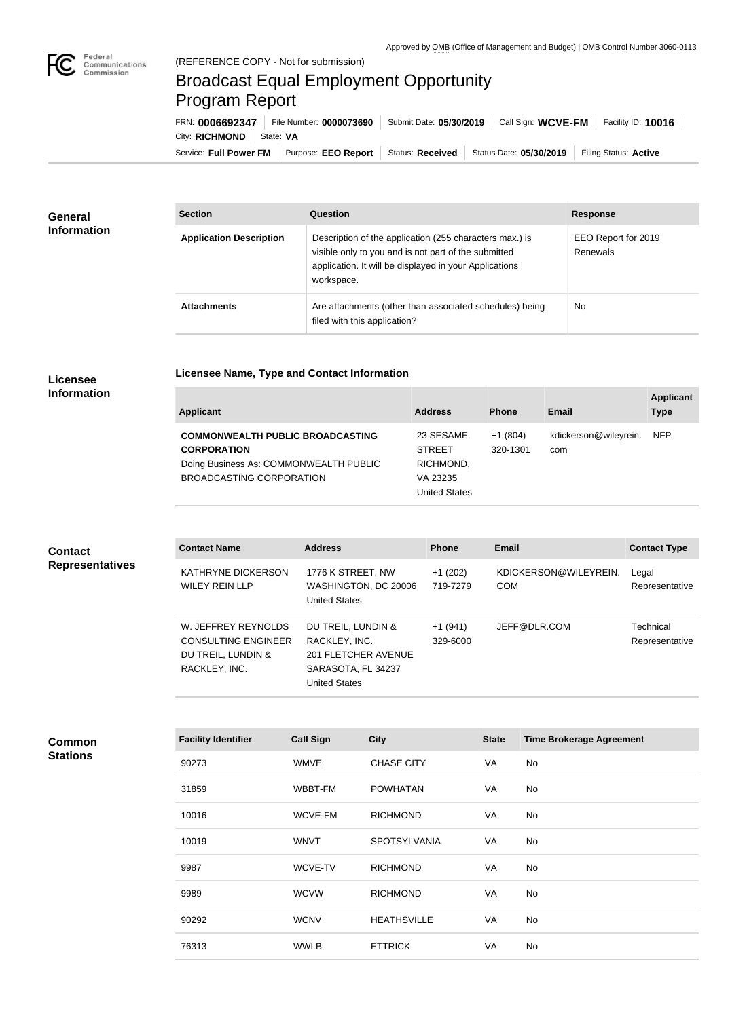

×

## Broadcast Equal Employment Opportunity Program Report

**Licensee Name, Type and Contact Information**

Service: Full Power FM Purpose: EEO Report | Status: Received | Status Date: 05/30/2019 | Filing Status: Active City: **RICHMOND** | State: VA FRN: **0006692347** File Number: **0000073690** Submit Date: **05/30/2019** Call Sign: **WCVE-FM** Facility ID: **10016**

| General<br><b>Information</b> | <b>Section</b>                 | Question                                                                                                                                                                                | <b>Response</b>                 |  |
|-------------------------------|--------------------------------|-----------------------------------------------------------------------------------------------------------------------------------------------------------------------------------------|---------------------------------|--|
|                               | <b>Application Description</b> | Description of the application (255 characters max.) is<br>visible only to you and is not part of the submitted<br>application. It will be displayed in your Applications<br>workspace. | EEO Report for 2019<br>Renewals |  |
|                               | <b>Attachments</b>             | Are attachments (other than associated schedules) being<br>filed with this application?                                                                                                 | No                              |  |

## **Licensee Information**

**Common Stations**

| Applicant                                                                                                                           | <b>Address</b>                                                              | <b>Phone</b>          | Email                        | <b>Applicant</b><br><b>Type</b> |
|-------------------------------------------------------------------------------------------------------------------------------------|-----------------------------------------------------------------------------|-----------------------|------------------------------|---------------------------------|
| <b>COMMONWEALTH PUBLIC BROADCASTING</b><br><b>CORPORATION</b><br>Doing Business As: COMMONWEALTH PUBLIC<br>BROADCASTING CORPORATION | 23 SESAME<br><b>STREET</b><br>RICHMOND,<br>VA 23235<br><b>United States</b> | $+1(804)$<br>320-1301 | kdickerson@wileyrein.<br>com | <b>NFP</b>                      |

| <b>Contact</b><br><b>Representatives</b> | <b>Contact Name</b>                                                                      | <b>Address</b>                                                                                           | <b>Phone</b>          | <b>Email</b>                        | <b>Contact Type</b>         |
|------------------------------------------|------------------------------------------------------------------------------------------|----------------------------------------------------------------------------------------------------------|-----------------------|-------------------------------------|-----------------------------|
|                                          | KATHRYNE DICKERSON<br><b>WILEY REIN LLP</b>                                              | 1776 K STREET, NW<br>WASHINGTON, DC 20006<br><b>United States</b>                                        | $+1(202)$<br>719-7279 | KDICKERSON@WILEYREIN.<br><b>COM</b> | Legal<br>Representative     |
|                                          | W. JEFFREY REYNOLDS<br><b>CONSULTING ENGINEER</b><br>DU TREIL, LUNDIN &<br>RACKLEY, INC. | DU TREIL, LUNDIN &<br>RACKLEY, INC.<br>201 FLETCHER AVENUE<br>SARASOTA, FL 34237<br><b>United States</b> | $+1(941)$<br>329-6000 | JEFF@DLR.COM                        | Technical<br>Representative |

| <b>Facility Identifier</b> | <b>Call Sign</b> | <b>City</b>         | <b>State</b> | <b>Time Brokerage Agreement</b> |
|----------------------------|------------------|---------------------|--------------|---------------------------------|
| 90273                      | <b>WMVE</b>      | <b>CHASE CITY</b>   | VA           | No                              |
| 31859                      | WBBT-FM          | <b>POWHATAN</b>     | VA           | No                              |
| 10016                      | WCVE-FM          | <b>RICHMOND</b>     | VA           | No                              |
| 10019                      | <b>WNVT</b>      | <b>SPOTSYLVANIA</b> | VA           | No                              |
| 9987                       | WCVE-TV          | <b>RICHMOND</b>     | VA           | No                              |
| 9989                       | <b>WCVW</b>      | <b>RICHMOND</b>     | VA           | No                              |
| 90292                      | <b>WCNV</b>      | <b>HEATHSVILLE</b>  | VA           | No                              |
| 76313                      | <b>WWLB</b>      | <b>ETTRICK</b>      | VA           | No                              |